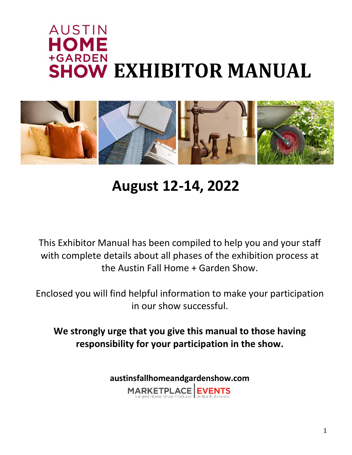# **AUSTIN** HOME +GARDEN **SHOW EXHIBITOR MANUAL**



# **August 12-14, 2022**

This Exhibitor Manual has been compiled to help you and your staff with complete details about all phases of the exhibition process at the Austin Fall Home + Garden Show.

Enclosed you will find helpful information to make your participation in our show successful.

**We strongly urge that you give this manual to those having responsibility for your participation in the show.**

**austinsfallhomeandgardenshow.com**

MARKETPLACE EVENTS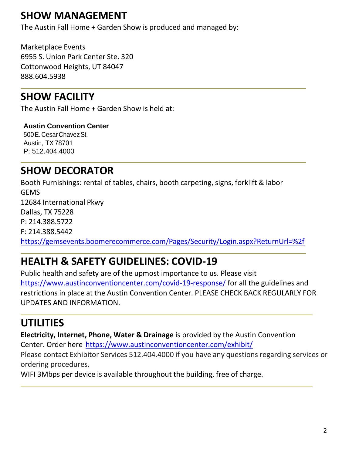# **SHOW MANAGEMENT**

The Austin Fall Home + Garden Show is produced and managed by:

Marketplace Events 6955 S. Union Park Center Ste. 320 Cottonwood Heights, UT 84047 888.604.5938

# **SHOW FACILITY**

The Austin Fall Home + Garden Show is held at:

**Austin Convention Center** 500 E. Cesar Chavez St. Austin, TX78701 P: 512.404.4000

# **SHOW DECORATOR**

Booth Furnishings: rental of tables, chairs, booth carpeting, signs, forklift & labor GEMS 12684 International Pkwy Dallas, TX 75228 P: 214.388.5722 F: 214.388.5442 <https://gemsevents.boomerecommerce.com/Pages/Security/Login.aspx?ReturnUrl=%2f>

# **HEALTH & SAFETY GUIDELINES: COVID-19**

Public health and safety are of the upmost importance to us. Please visit [https://www.austinconventioncenter.com/covid-19-response/ f](https://www.austinconventioncenter.com/covid-19-response/)or all the guidelines and restrictions in place at the Austin Convention Center. PLEASE CHECK BACK REGULARLY FOR UPDATES AND INFORMATION.

# **UTILITIES**

**Electricity, Internet, Phone, Water & Drainage** is provided by the Austin Convention Center. Order here <https://www.austinconventioncenter.com/exhibit/>

Please contact Exhibitor Services 512.404.4000 if you have any questions regarding services or ordering procedures.

WIFI 3Mbps per device is available throughout the building, free of charge.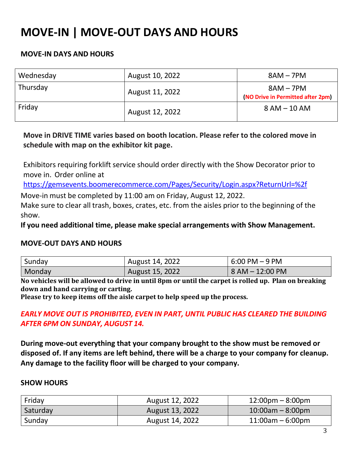# **MOVE-IN | MOVE-OUT DAYS AND HOURS**

### **MOVE-IN DAYS AND HOURS**

| Wednesday | August 10, 2022 | $8AM - 7PM$                                      |
|-----------|-----------------|--------------------------------------------------|
| Thursday  | August 11, 2022 | $8AM - 7PM$<br>(NO Drive in Permitted after 2pm) |
| Friday    | August 12, 2022 | $8 AM - 10 AM$                                   |

## **Move in DRIVE TIME varies based on booth location. Please refer to the colored move in schedule with map on the exhibitor kit page.**

Exhibitors requiring forklift service should order directly with the Show Decorator prior to move in. Order online at

<https://gemsevents.boomerecommerce.com/Pages/Security/Login.aspx?ReturnUrl=%2f>

Move-in must be completed by 11:00 am on Friday, August 12, 2022.

Make sure to clear all trash, boxes, crates, etc. from the aisles prior to the beginning of the show.

**If you need additional time, please make special arrangements with Show Management.** 

## **MOVE-OUT DAYS AND HOURS**

| Sunday | August 14, 2022 | 6:00 PM – 9 PM  |
|--------|-----------------|-----------------|
| Monday | August 15, 2022 | 8 AM – 12:00 PM |

No vehicles will be allowed to drive in until 8pm or until the carpet is rolled up. Plan on breaking **down and hand carrying or carting.**

**Please try to keep items off the aisle carpet to help speed up the process.**

### *EARLY MOVE OUT IS PROHIBITED, EVEN IN PART, UNTIL PUBLIC HAS CLEARED THE BUILDING AFTER 6PM ON SUNDAY, AUGUST 14.*

**During move-out everything that your company brought to the show must be removed or disposed of. If any items are left behind, there will be a charge to your company for cleanup. Any damage to the facility floor will be charged to your company.**

### **SHOW HOURS**

| Friday   | August 12, 2022 | $12:00 \text{pm} - 8:00 \text{pm}$ |
|----------|-----------------|------------------------------------|
| Saturday | August 13, 2022 | $10:00$ am – 8:00pm                |
| Sunday   | August 14, 2022 | $11:00$ am – 6:00pm                |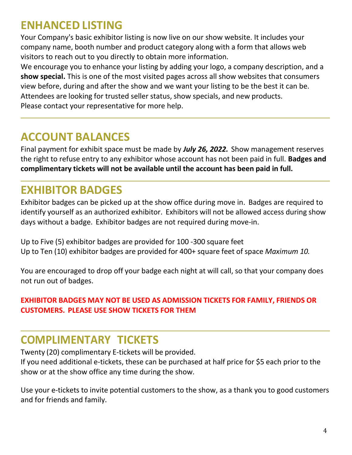# **ENHANCED LISTING**

Your Company's basic exhibitor listing is now live on our show website. It includes your company name, booth number and product category along with a form that allows web visitors to reach out to you directly to obtain more information.

We encourage you to enhance your listing by adding your logo, a company description, and a **show special.** This is one of the most visited pages across all show websites that consumers view before, during and after the show and we want your listing to be the best it can be. Attendees are looking for trusted seller status, show specials, and new products. Please contact your representative for more help.

# **ACCOUNT BALANCES**

Final payment for exhibit space must be made by *July 26, 2022.* Show management reserves the right to refuse entry to any exhibitor whose account has not been paid in full. **Badges and complimentary tickets will not be available until the account has been paid in full.**

# **EXHIBITOR BADGES**

Exhibitor badges can be picked up at the show office during move in. Badges are required to identify yourself as an authorized exhibitor. Exhibitors will not be allowed access during show days without a badge. Exhibitor badges are not required during move-in.

Up to Five (5) exhibitor badges are provided for 100 -300 square feet Up to Ten (10) exhibitor badges are provided for 400+ square feet of space *Maximum 10.*

You are encouraged to drop off your badge each night at will call, so that your company does not run out of badges.

## **EXHIBITOR BADGES MAY NOT BE USED AS ADMISSION TICKETS FOR FAMILY, FRIENDS OR CUSTOMERS. PLEASE USE SHOW TICKETS FOR THEM**

# **COMPLIMENTARY TICKETS**

Twenty (20) complimentary E-tickets will be provided.

If you need additional e-tickets, these can be purchased at half price for \$5 each prior to the show or at the show office any time during the show.

Use your e-tickets to invite potential customers to the show, as a thank you to good customers and for friends and family.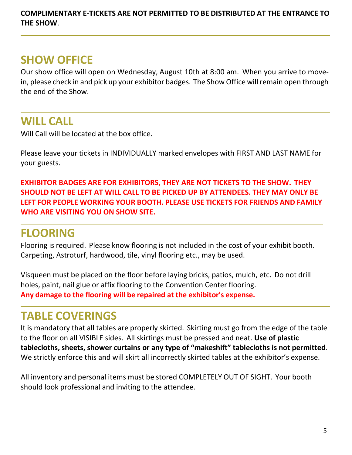**COMPLIMENTARY E-TICKETS ARE NOT PERMITTED TO BE DISTRIBUTED AT THE ENTRANCE TO THE SHOW**.

# **SHOW OFFICE**

Our show office will open on Wednesday, August 10th at 8:00 am. When you arrive to movein, please check in and pick up your exhibitor badges. The Show Office will remain open through the end of the Show.

# **WILL CALL**

Will Call will be located at the box office.

Please leave your tickets in INDIVIDUALLY marked envelopes with FIRST AND LAST NAME for your guests.

**EXHIBITOR BADGES ARE FOR EXHIBITORS, THEY ARE NOT TICKETS TO THE SHOW. THEY SHOULD NOT BE LEFT AT WILL CALL TO BE PICKED UP BY ATTENDEES. THEY MAY ONLY BE LEFT FOR PEOPLE WORKING YOUR BOOTH. PLEASE USE TICKETS FOR FRIENDS AND FAMILY WHO ARE VISITING YOU ON SHOW SITE.**

# **FLOORING**

Flooring is required. Please know flooring is not included in the cost of your exhibit booth. Carpeting, Astroturf, hardwood, tile, vinyl flooring etc., may be used.

Visqueen must be placed on the floor before laying bricks, patios, mulch, etc. Do not drill holes, paint, nail glue or affix flooring to the Convention Center flooring. **Any damage to the flooring will be repaired at the exhibitor's expense.**

# **TABLE COVERINGS**

It is mandatory that all tables are properly skirted. Skirting must go from the edge of the table to the floor on all VISIBLE sides. All skirtings must be pressed and neat. **Use of plastic tablecloths, sheets, shower curtains or any type of "makeshift" tablecloths is not permitted**. We strictly enforce this and will skirt all incorrectly skirted tables at the exhibitor's expense.

All inventory and personal items must be stored COMPLETELY OUT OF SIGHT. Your booth should look professional and inviting to the attendee.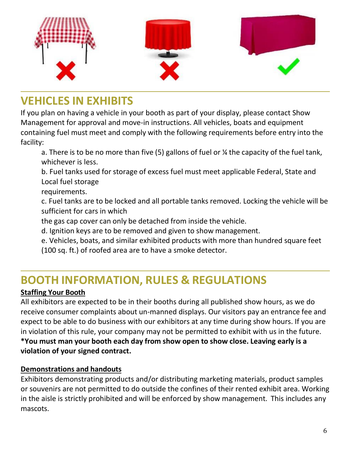

# **VEHICLES IN EXHIBITS**

If you plan on having a vehicle in your booth as part of your display, please contact Show Management for approval and move-in instructions. All vehicles, boats and equipment containing fuel must meet and comply with the following requirements before entry into the facility:

a. There is to be no more than five (5) gallons of fuel or ¼ the capacity of the fuel tank, whichever is less.

b. Fuel tanks used for storage of excess fuel must meet applicable Federal, State and Local fuel storage

requirements.

c. Fuel tanks are to be locked and all portable tanks removed. Locking the vehicle will be sufficient for cars in which

the gas cap cover can only be detached from inside the vehicle.

d. Ignition keys are to be removed and given to show management.

e. Vehicles, boats, and similar exhibited products with more than hundred square feet (100 sq. ft.) of roofed area are to have a smoke detector.

# **BOOTH INFORMATION, RULES & REGULATIONS**

## **Staffing Your Booth**

All exhibitors are expected to be in their booths during all published show hours, as we do receive consumer complaints about un-manned displays. Our visitors pay an entrance fee and expect to be able to do business with our exhibitors at any time during show hours. If you are in violation of this rule, your company may not be permitted to exhibit with us in the future. **\*You must man your booth each day from show open to show close. Leaving early is a violation of your signed contract.**

## **Demonstrations and handouts**

Exhibitors demonstrating products and/or distributing marketing materials, product samples or souvenirs are not permitted to do outside the confines of their rented exhibit area. Working in the aisle is strictly prohibited and will be enforced by show management. This includes any mascots.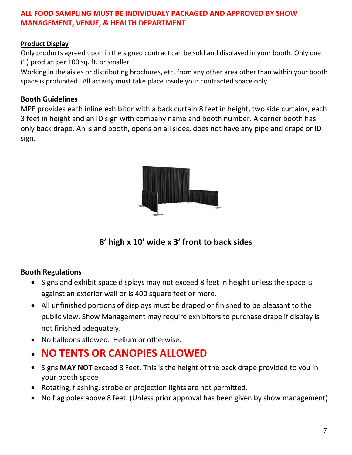## **ALL FOOD SAMPLING MUST BE INDIVIDUALY PACKAGED AND APPROVED BY SHOW MANAGEMENT, VENUE, & HEALTH DEPARTMENT**

### **Product Display**

Only products agreed upon in the signed contract can be sold and displayed in your booth. Only one (1) product per 100 sq. ft. or smaller.

Working in the aisles or distributing brochures, etc. from any other area other than within your booth space is prohibited. All activity must take place inside your contracted space only.

### **Booth Guidelines**

MPE provides each inline exhibitor with a back curtain 8 feet in height, two side curtains, each 3 feet in height and an ID sign with company name and booth number. A corner booth has only back drape. An island booth, opens on all sides, does not have any pipe and drape or ID sign.



**8' high x 10' wide x 3' front to back sides**

### **Booth Regulations**

- Signs and exhibit space displays may not exceed 8 feet in height unless the space is against an exterior wall or is 400 square feet or more.
- All unfinished portions of displays must be draped or finished to be pleasant to the public view. Show Management may require exhibitors to purchase drape if display is not finished adequately.
- No balloons allowed. Helium or otherwise.
- **NO TENTS OR CANOPIES ALLOWED**
- Signs **MAY NOT** exceed 8 Feet. This is the height of the back drape provided to you in your booth space
- Rotating, flashing, strobe or projection lights are not permitted.
- No flag poles above 8 feet. (Unless prior approval has been given by show management)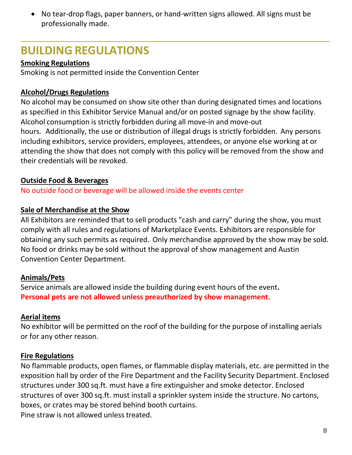• No tear-drop flags, paper banners, or hand-written signs allowed. All signs must be professionally made.

# **BUILDING REGULATIONS**

## **Smoking Regulations**

Smoking is not permitted inside the Convention Center

## **Alcohol/Drugs Regulations**

No alcohol may be consumed on show site other than during designated times and locations as specified in this Exhibitor Service Manual and/or on posted signage by the show facility. Alcohol consumption is strictly forbidden during all move-in and move-out hours. Additionally, the use or distribution of illegal drugs is strictly forbidden. Any persons including exhibitors, service providers, employees, attendees, or anyone else working at or attending the show that does not comply with this policy will be removed from the show and their credentials will be revoked.

## **Outside Food & Beverages**

No outside food or beverage will be allowed inside the events center

## **Sale of Merchandise at the Show**

All Exhibitors are reminded that to sell products "cash and carry" during the show, you must comply with all rules and regulations of Marketplace Events. Exhibitors are responsible for obtaining any such permits as required. Only merchandise approved by the show may be sold. No food or drinks may be sold without the approval of show management and Austin Convention Center Department.

## **Animals/Pets**

Service animals are allowed inside the building during event hours of the event**. Personal pets are not allowed unless preauthorized by show management.**

## **Aerial items**

No exhibitor will be permitted on the roof of the building for the purpose of installing aerials or for any other reason.

## **Fire Regulations**

No flammable products, open flames, or flammable display materials, etc. are permitted in the exposition hall by order of the Fire Department and the Facility Security Department. Enclosed structures under 300 sq.ft. must have a fire extinguisher and smoke detector. Enclosed structures of over 300 sq.ft. must install a sprinkler system inside the structure. No cartons, boxes, or crates may be stored behind booth curtains. Pine straw is not allowed unless treated.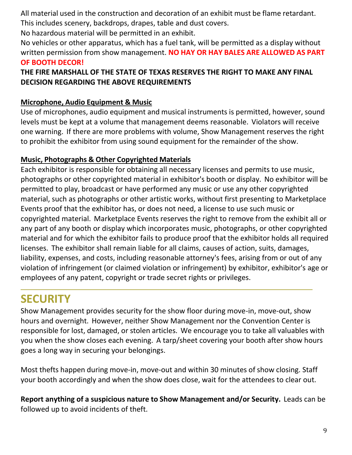All material used in the construction and decoration of an exhibit must be flame retardant. This includes scenery, backdrops, drapes, table and dust covers.

No hazardous material will be permitted in an exhibit.

No vehicles or other apparatus, which has a fuel tank, will be permitted as a display without written permission from show management. **NO HAY OR HAY BALES ARE ALLOWED AS PART OF BOOTH DECOR!**

## **THE FIRE MARSHALL OF THE STATE OF TEXAS RESERVES THE RIGHT TO MAKE ANY FINAL DECISION REGARDING THE ABOVE REQUIREMENTS**

## **Microphone, Audio Equipment & Music**

Use of microphones, audio equipment and musical instruments is permitted, however, sound levels must be kept at a volume that management deems reasonable. Violators will receive one warning. If there are more problems with volume, Show Management reserves the right to prohibit the exhibitor from using sound equipment for the remainder of the show.

## **Music, Photographs & Other Copyrighted Materials**

Each exhibitor is responsible for obtaining all necessary licenses and permits to use music, photographs or other copyrighted material in exhibitor's booth or display. No exhibitor will be permitted to play, broadcast or have performed any music or use any other copyrighted material, such as photographs or other artistic works, without first presenting to Marketplace Events proof that the exhibitor has, or does not need, a license to use such music or copyrighted material. Marketplace Events reserves the right to remove from the exhibit all or any part of any booth or display which incorporates music, photographs, or other copyrighted material and for which the exhibitor fails to produce proof that the exhibitor holds all required licenses. The exhibitor shall remain liable for all claims, causes of action, suits, damages, liability, expenses, and costs, including reasonable attorney's fees, arising from or out of any violation of infringement (or claimed violation or infringement) by exhibitor, exhibitor's age or employees of any patent, copyright or trade secret rights or privileges.

# **SECURITY**

Show Management provides security for the show floor during move-in, move-out, show hours and overnight. However, neither Show Management nor the Convention Center is responsible for lost, damaged, or stolen articles. We encourage you to take all valuables with you when the show closes each evening. A tarp/sheet covering your booth after show hours goes a long way in securing your belongings.

Most thefts happen during move-in, move-out and within 30 minutes of show closing. Staff your booth accordingly and when the show does close, wait for the attendees to clear out.

**Report anything of a suspicious nature to Show Management and/or Security.** Leads can be followed up to avoid incidents of theft.